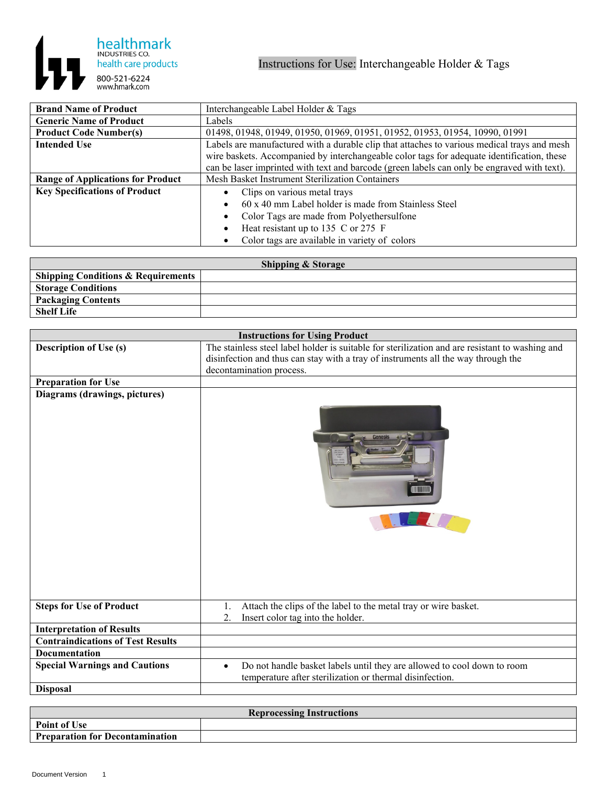

| <b>Brand Name of Product</b>             | Interchangeable Label Holder & Tags                                                         |
|------------------------------------------|---------------------------------------------------------------------------------------------|
| <b>Generic Name of Product</b>           | Labels                                                                                      |
| <b>Product Code Number(s)</b>            | 01498, 01948, 01949, 01950, 01969, 01951, 01952, 01953, 01954, 10990, 01991                 |
| <b>Intended Use</b>                      | Labels are manufactured with a durable clip that attaches to various medical trays and mesh |
|                                          | wire baskets. Accompanied by interchangeable color tags for adequate identification, these  |
|                                          | can be laser imprinted with text and barcode (green labels can only be engraved with text). |
| <b>Range of Applications for Product</b> | Mesh Basket Instrument Sterilization Containers                                             |
| <b>Key Specifications of Product</b>     | Clips on various metal trays                                                                |
|                                          | 60 x 40 mm Label holder is made from Stainless Steel                                        |
|                                          | Color Tags are made from Polyethersulfone                                                   |
|                                          | Heat resistant up to 135 C or 275 F                                                         |
|                                          | Color tags are available in variety of colors                                               |

| <b>Shipping &amp; Storage</b>                   |  |  |
|-------------------------------------------------|--|--|
| <sup>1</sup> Shipping Conditions & Requirements |  |  |
| <sup>1</sup> Storage Conditions                 |  |  |
| <b>Packaging Contents</b>                       |  |  |
| <b>Shelf Life</b>                               |  |  |

| <b>Instructions for Using Product</b>    |                                                                                                                                                  |
|------------------------------------------|--------------------------------------------------------------------------------------------------------------------------------------------------|
| <b>Description of Use (s)</b>            | The stainless steel label holder is suitable for sterilization and are resistant to washing and                                                  |
|                                          | disinfection and thus can stay with a tray of instruments all the way through the                                                                |
|                                          | decontamination process.                                                                                                                         |
| <b>Preparation for Use</b>               |                                                                                                                                                  |
| Diagrams (drawings, pictures)            |                                                                                                                                                  |
| <b>Steps for Use of Product</b>          | Attach the clips of the label to the metal tray or wire basket.<br>1.                                                                            |
|                                          | Insert color tag into the holder.<br>2.                                                                                                          |
| <b>Interpretation of Results</b>         |                                                                                                                                                  |
| <b>Contraindications of Test Results</b> |                                                                                                                                                  |
| <b>Documentation</b>                     |                                                                                                                                                  |
| <b>Special Warnings and Cautions</b>     | Do not handle basket labels until they are allowed to cool down to room<br>$\bullet$<br>temperature after sterilization or thermal disinfection. |
| <b>Disposal</b>                          |                                                                                                                                                  |

| <b>Reprocessing Instructions</b>       |  |  |
|----------------------------------------|--|--|
| Point of Use                           |  |  |
| <b>Preparation for Decontamination</b> |  |  |